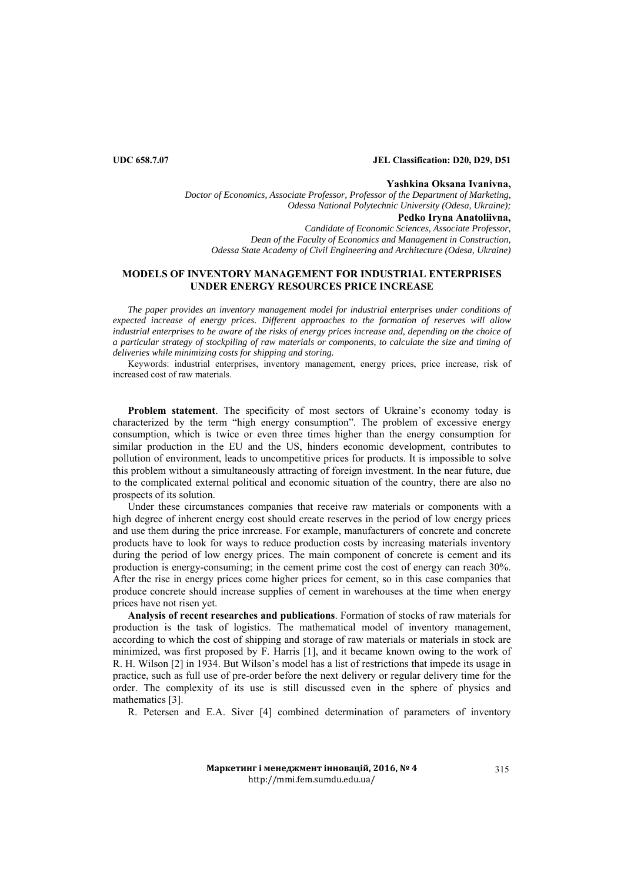## **UDC 658.7.07 JEL Classification: D20, D29, D51**

### **Yashkina Oksana Ivanivna,**

*Doctor of Economics, Associate Professor, Professor of the Department of Marketing, Odessa National Polytechnic University (Odesa, Ukraine);* **Pedko Iryna Anatoliivna,**  *Candidate of Economic Sciences, Associate Professor, Dean of the Faculty of Economics and Management in Construction, Odessa State Academy of Civil Engineering and Architecture (Odesa, Ukraine)* 

# **MODELS OF INVENTORY MANAGEMENT FOR INDUSTRIAL ENTERPRISES UNDER ENERGY RESOURCES PRICE INCREASE**

*The paper provides an inventory management model for industrial enterprises under conditions of expected increase of energy prices. Different approaches to the formation of reserves will allow industrial enterprises to be aware of the risks of energy prices increase and, depending on the choice of a particular strategy of stockpiling of raw materials or components, to calculate the size and timing of deliveries while minimizing costs for shipping and storing.* 

Keywords: industrial enterprises, inventory management, energy prices, price increase, risk of increased cost of raw materials.

**Problem statement**. The specificity of most sectors of Ukraine's economy today is characterized by the term "high energy consumption". The problem of excessive energy consumption, which is twice or even three times higher than the energy consumption for similar production in the EU and the US, hinders economic development, contributes to pollution of environment, leads to uncompetitive prices for products. It is impossible to solve this problem without a simultaneously attracting of foreign investment. In the near future, due to the complicated external political and economic situation of the country, there are also no prospects of its solution.

Under these circumstances companies that receive raw materials or components with a high degree of inherent energy cost should create reserves in the period of low energy prices and use them during the price inrcrease. For example, manufacturers of concrete and concrete products have to look for ways to reduce production costs by increasing materials inventory during the period of low energy prices. The main component of concrete is cement and its production is energy-consuming; in the cement prime cost the cost of energy can reach 30%. After the rise in energy prices come higher prices for cement, so in this case companies that produce concrete should increase supplies of cement in warehouses at the time when energy prices have not risen yet.

**Analysis of recent researches and publications**. Formation of stocks of raw materials for production is the task of logistics. The mathematical model of inventory management, according to which the cost of shipping and storage of raw materials or materials in stock are minimized, was first proposed by F. Harris [1], and it became known owing to the work of R. H. Wilson [2] in 1934. But Wilson's model has a list of restrictions that impede its usage in practice, such as full use of pre-order before the next delivery or regular delivery time for the order. The complexity of its use is still discussed even in the sphere of physics and mathematics [3].

R. Petersen and E.A. Siver [4] combined determination of parameters of inventory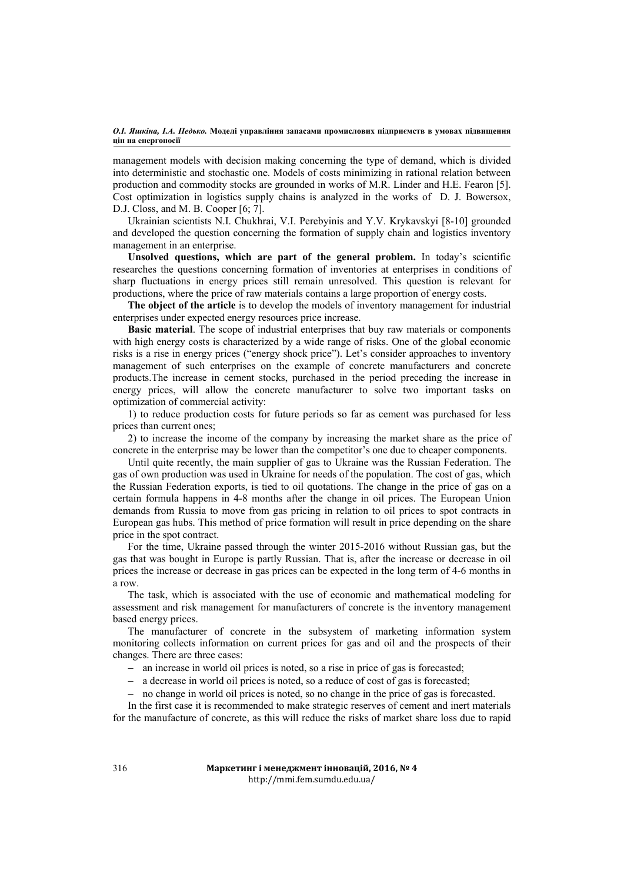management models with decision making concerning the type of demand, which is divided into deterministic and stochastic one. Models of costs minimizing in rational relation between production and commodity stocks are grounded in works of M.R. Linder and H.E. Fearon [5]. Cost optimization in logistics supply chains is analyzed in the works of D. J. Bowersox, D.J. Closs, and M. B. Cooper [6; 7].

Ukrainian scientists N.I. Chukhrai, V.I. Perebyinis and Y.V. Krykavskyi [8-10] grounded and developed the question concerning the formation of supply chain and logistics inventory management in an enterprise.

**Unsolved questions, which are part of the general problem.** In today's scientific researches the questions concerning formation of inventories at enterprises in conditions of sharp fluctuations in energy prices still remain unresolved. This question is relevant for productions, where the price of raw materials contains a large proportion of energy costs.

**The object of the article** is to develop the models of inventory management for industrial enterprises under expected energy resources price increase.

**Basic material**. The scope of industrial enterprises that buy raw materials or components with high energy costs is characterized by a wide range of risks. One of the global economic risks is a rise in energy prices ("energy shock price"). Let's consider approaches to inventory management of such enterprises on the example of concrete manufacturers and concrete products.The increase in cement stocks, purchased in the period preceding the increase in energy prices, will allow the concrete manufacturer to solve two important tasks on optimization of commercial activity:

1) to reduce production costs for future periods so far as cement was purchased for less prices than current ones;

2) to increase the income of the company by increasing the market share as the price of concrete in the enterprise may be lower than the competitor's one due to cheaper components.

Until quite recently, the main supplier of gas to Ukraine was the Russian Federation. The gas of own production was used in Ukraine for needs of the population. The cost of gas, which the Russian Federation exports, is tied to oil quotations. The change in the price of gas on a certain formula happens in 4-8 months after the change in oil prices. The European Union demands from Russia to move from gas pricing in relation to oil prices to spot contracts in European gas hubs. This method of price formation will result in price depending on the share price in the spot contract.

For the time, Ukraine passed through the winter 2015-2016 without Russian gas, but the gas that was bought in Europe is partly Russian. That is, after the increase or decrease in oil prices the increase or decrease in gas prices can be expected in the long term of 4-6 months in a row.

The task, which is associated with the use of economic and mathematical modeling for assessment and risk management for manufacturers of concrete is the inventory management based energy prices.

The manufacturer of concrete in the subsystem of marketing information system monitoring collects information on current prices for gas and oil and the prospects of their changes. There are three cases:

- an increase in world oil prices is noted, so a rise in price of gas is forecasted;
- a decrease in world oil prices is noted, so a reduce of cost of gas is forecasted;
- no change in world oil prices is noted, so no change in the price of gas is forecasted.

In the first case it is recommended to make strategic reserves of cement and inert materials for the manufacture of concrete, as this will reduce the risks of market share loss due to rapid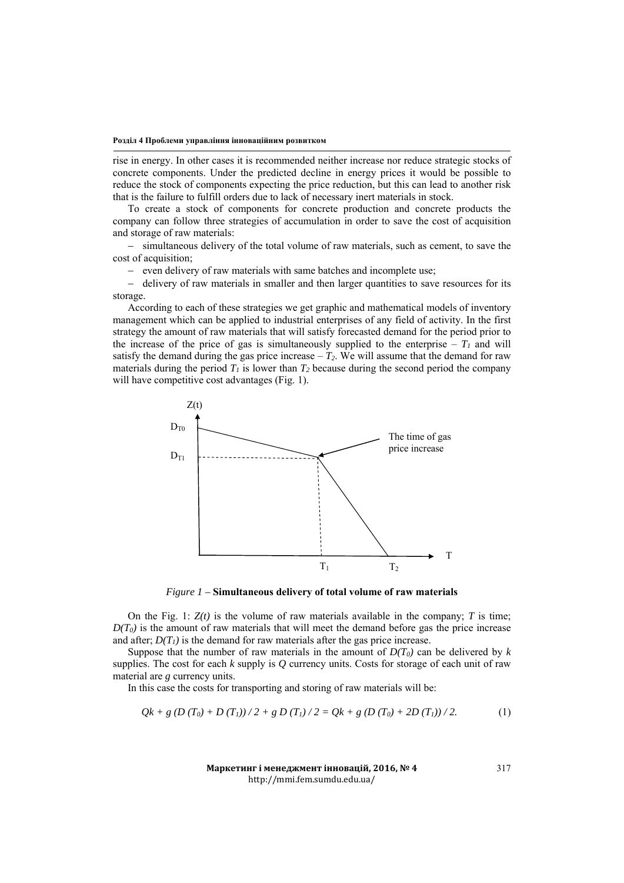#### **Розділ 4 Проблеми управління інноваційним розвитком**

rise in energy. In other cases it is recommended neither increase nor reduce strategic stocks of concrete components. Under the predicted decline in energy prices it would be possible to reduce the stock of components expecting the price reduction, but this can lead to another risk that is the failure to fulfill orders due to lack of necessary inert materials in stock.

To create a stock of components for concrete production and concrete products the company can follow three strategies of accumulation in order to save the cost of acquisition and storage of raw materials:

- simultaneous delivery of the total volume of raw materials, such as cement, to save the cost of acquisition;

- even delivery of raw materials with same batches and incomplete use;

 $-$  delivery of raw materials in smaller and then larger quantities to save resources for its storage.

According to each of these strategies we get graphic and mathematical models of inventory management which can be applied to industrial enterprises of any field of activity. In the first strategy the amount of raw materials that will satisfy forecasted demand for the period prior to the increase of the price of gas is simultaneously supplied to the enterprise –  $T_l$  and will satisfy the demand during the gas price increase  $-T_2$ . We will assume that the demand for raw materials during the period  $T_1$  is lower than  $T_2$  because during the second period the company will have competitive cost advantages (Fig. 1).



*Figure 1 –* **Simultaneous delivery of total volume of raw materials**

On the Fig. 1:  $Z(t)$  is the volume of raw materials available in the company; *T* is time;  $D(T_0)$  is the amount of raw materials that will meet the demand before gas the price increase and after;  $D(T_1)$  is the demand for raw materials after the gas price increase.

Suppose that the number of raw materials in the amount of  $D(T_0)$  can be delivered by k supplies. The cost for each *k* supply is *Q* currency units. Costs for storage of each unit of raw material are *g* currency units.

In this case the costs for transporting and storing of raw materials will be:

$$
Qk + g(D(T_0) + D(T_1))/2 + g(D(T_1)/2 = Qk + g(D(T_0) + 2D(T_1))/2.
$$
 (1)

**Маркетинг і менеджмент інновацій, 2016, № 4** http://mmi.fem.sumdu.edu.ua/

317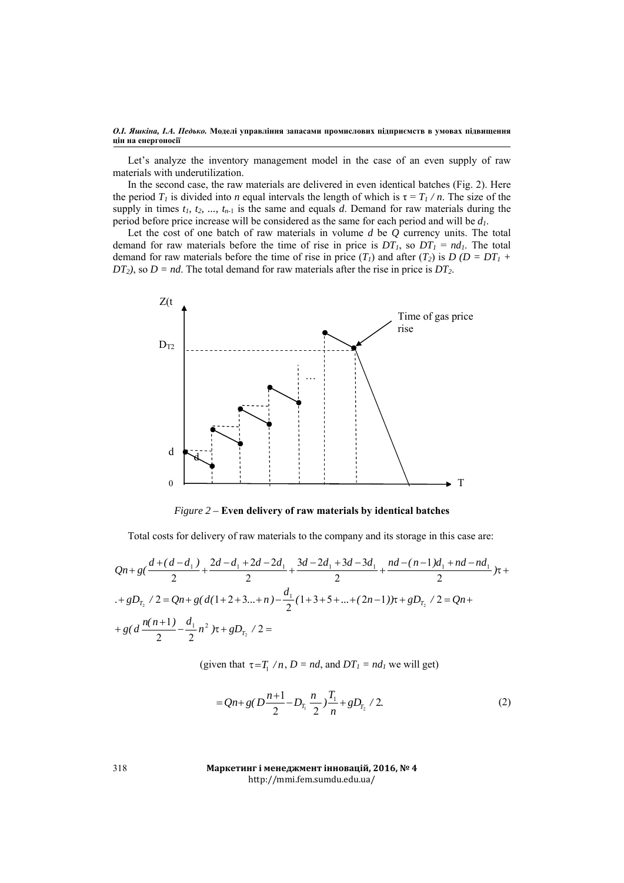Let's analyze the inventory management model in the case of an even supply of raw materials with underutilization.

In the second case, the raw materials are delivered in even identical batches (Fig. 2). Here the period  $T_1$  is divided into *n* equal intervals the length of which is  $\tau = T_1/n$ . The size of the supply in times  $t_1$ ,  $t_2$ , ...,  $t_{n-1}$  is the same and equals  $d$ . Demand for raw materials during the period before price increase will be considered as the same for each period and will be *d1*.

Let the cost of one batch of raw materials in volume *d* be *Q* currency units. The total demand for raw materials before the time of rise in price is  $DT_1$ , so  $DT_1 = nd_1$ . The total demand for raw materials before the time of rise in price  $(T_1)$  and after  $(T_2)$  is  $D (D = DT_1 +$  $DT_2$ ), so  $D = nd$ . The total demand for raw materials after the rise in price is  $DT_2$ .



*Figure 2 –* **Even delivery of raw materials by identical batches**

Total costs for delivery of raw materials to the company and its storage in this case are:

$$
Qn+g\left(\frac{d+(d-d_1)}{2}+\frac{2d-d_1+2d-2d_1}{2}+\frac{3d-2d_1+3d-3d_1}{2}+\frac{nd-(n-1)d_1+nd-nd_1}{2}\right)\tau +
$$
  
+
$$
gD_{T_2}/2=Qn+g\left(d(1+2+3...+n)-\frac{d_1}{2}(1+3+5+...+(2n-1))\tau+gD_{T_2}/2=Qn++g\left(d\frac{n(n+1)}{2}-\frac{d_1}{2}n^2\right)\tau+gD_{T_2}/2=
$$

(given that  $\tau = T_1/n$ ,  $D = nd$ , and  $DT_1 = nd_1$  we will get)

$$
= Qn + g(D\frac{n+1}{2} - D_{T_1}\frac{n}{2})\frac{T_1}{n} + gD_{T_2}/2.
$$
 (2)

**Маркетинг і менеджмент інновацій, 2016, № 4** http://mmi.fem.sumdu.edu.ua/

318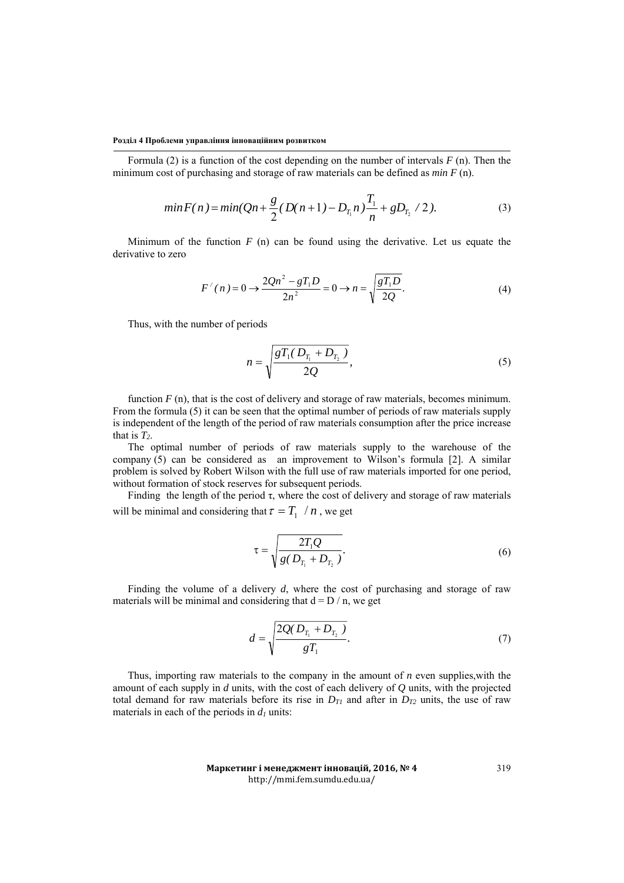#### **Розділ 4 Проблеми управління інноваційним розвитком**

Formula (2) is a function of the cost depending on the number of intervals *F* (n). Then the minimum cost of purchasing and storage of raw materials can be defined as *min F* (n).

$$
min F(n) = min(Qn + \frac{g}{2}(D(n+1) - D_{T_1}n)\frac{T_1}{n} + gD_{T_2}/2).
$$
\n(3)

Minimum of the function  $F(n)$  can be found using the derivative. Let us equate the derivative to zero

$$
F'(n) = 0 \to \frac{2Qn^2 - gT_1D}{2n^2} = 0 \to n = \sqrt{\frac{gT_1D}{2Q}}.
$$
 (4)

Thus, with the number of periods

$$
n = \sqrt{\frac{gT_1(D_{T_1} + D_{T_2})}{2Q}},
$$
\n(5)

function  $F(n)$ , that is the cost of delivery and storage of raw materials, becomes minimum. From the formula (5) it can be seen that the optimal number of periods of raw materials supply is independent of the length of the period of raw materials consumption after the price increase that is  $T_2$ .

The optimal number of periods of raw materials supply to the warehouse of the company (5) can be considered as an improvement to Wilson's formula [2]. A similar problem is solved by Robert Wilson with the full use of raw materials imported for one period, without formation of stock reserves for subsequent periods.

Finding the length of the period  $\tau$ , where the cost of delivery and storage of raw materials will be minimal and considering that  $\tau = T_1 / n$ , we get

$$
\tau = \sqrt{\frac{2T_1Q}{g(D_{T_1} + D_{T_2})}}.
$$
\n(6)

Finding the volume of a delivery *d*, where the cost of purchasing and storage of raw materials will be minimal and considering that  $d = D / n$ , we get

$$
d = \sqrt{\frac{2Q(D_{T_1} + D_{T_2})}{gT_1}}.\tag{7}
$$

Thus, importing raw materials to the company in the amount of *n* even supplies,with the amount of each supply in *d* units, with the cost of each delivery of *Q* units, with the projected total demand for raw materials before its rise in  $D_{T1}$  and after in  $D_{T2}$  units, the use of raw materials in each of the periods in  $d_1$  units:

> **Маркетинг і менеджмент інновацій, 2016, № 4** http://mmi.fem.sumdu.edu.ua/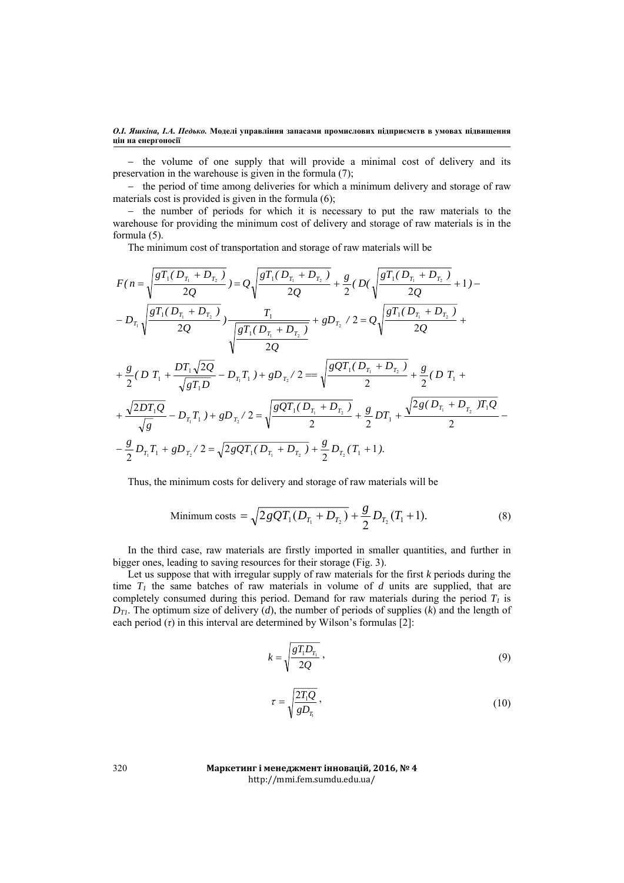$-$  the volume of one supply that will provide a minimal cost of delivery and its preservation in the warehouse is given in the formula (7);

- the period of time among deliveries for which a minimum delivery and storage of raw materials cost is provided is given in the formula (6);

 $-$  the number of periods for which it is necessary to put the raw materials to the warehouse for providing the minimum cost of delivery and storage of raw materials is in the formula (5).

The minimum cost of transportation and storage of raw materials will be

$$
F(n) = \sqrt{\frac{gT_1(D_{T_1} + D_{T_2})}{2Q}} = Q\sqrt{\frac{gT_1(D_{T_1} + D_{T_2})}{2Q}} + \frac{g}{2}(D(\sqrt{\frac{gT_1(D_{T_1} + D_{T_2})}{2Q}} + 1) - D_{T_1}\sqrt{\frac{gT_1(D_{T_1} + D_{T_2})}{2Q}})
$$
  
\n
$$
-D_{T_1}\sqrt{\frac{gT_1(D_{T_1} + D_{T_2})}{2Q}} + \frac{T_1}{\sqrt{\frac{gT_1(D_{T_1} + D_{T_2})}{2Q}}} + gD_{T_2}/2 = Q\sqrt{\frac{gT_1(D_{T_1} + D_{T_2})}{2Q}} + \frac{g}{2}(DT_1 + \frac{D_{T_1}\sqrt{2Q}}{\sqrt{gT_1D}} - D_{T_1}T_1) + gD_{T_2}/2 = \sqrt{\frac{gQT_1(D_{T_1} + D_{T_2})}{2}} + \frac{g}{2}(DT_1 + \frac{\sqrt{2DT_1Q}}{\sqrt{g}} - D_{T_1}T_1) + gD_{T_2}/2 = \sqrt{\frac{gQT_1(D_{T_1} + D_{T_2})}{2}} + \frac{g}{2}DT_1 + \frac{\sqrt{2g(D_{T_1} + D_{T_2})}T_1Q}{2}
$$
  
\n
$$
-\frac{g}{2}D_{T_1}T_1 + gD_{T_2}/2 = \sqrt{2gQT_1(D_{T_1} + D_{T_2})} + \frac{g}{2}D_{T_2}(T_1 + 1).
$$

Thus, the minimum costs for delivery and storage of raw materials will be

Minimum costs = 
$$
\sqrt{2gQT_1(D_{T_1} + D_{T_2})} + \frac{g}{2}D_{T_2}(T_1 + 1).
$$
 (8)

In the third case, raw materials are firstly imported in smaller quantities, and further in bigger ones, leading to saving resources for their storage (Fig. 3).

Let us suppose that with irregular supply of raw materials for the first *k* periods during the time  $T_1$  the same batches of raw materials in volume of  $d$  units are supplied, that are completely consumed during this period. Demand for raw materials during the period  $T<sub>1</sub>$  is  $D_{T1}$ . The optimum size of delivery (*d*), the number of periods of supplies (*k*) and the length of each period (*τ*) in this interval are determined by Wilson's formulas [2]:

$$
k = \sqrt{\frac{gT_1D_{T_1}}{2Q}}\,,\tag{9}
$$

$$
\tau = \sqrt{\frac{2T_1Q}{gD_{T_1}}},\tag{10}
$$

**Маркетинг і менеджмент інновацій, 2016, № 4** http://mmi.fem.sumdu.edu.ua/

320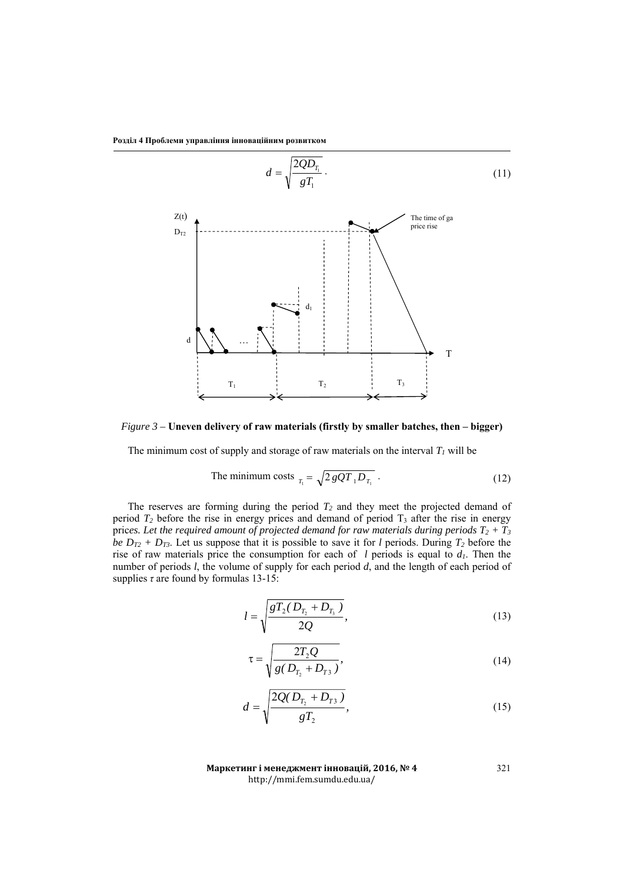

*Figure 3 –* **Uneven delivery of raw materials (firstly by smaller batches, then – bigger)** 

The minimum cost of supply and storage of raw materials on the interval  $T_l$  will be

The minimum costs 
$$
T_1 = \sqrt{2 g Q T_1 D_{T_1}}.
$$
 (12)

The reserves are forming during the period  $T_2$  and they meet the projected demand of period  $T_2$  before the rise in energy prices and demand of period  $T_3$  after the rise in energy prices. Let the required amount of projected demand for raw materials during periods  $T_2 + T_3$ *be*  $D_{T2}$  *+*  $D_{T3}$ *. Let us suppose that it is possible to save it for <i>l* periods. During  $T_2$  before the rise of raw materials price the consumption for each of *l* periods is equal to  $d<sub>l</sub>$ . Then the number of periods *l*, the volume of supply for each period *d*, and the length of each period of supplies *τ* are found by formulas 13-15:

$$
l = \sqrt{\frac{gT_2(D_{T_2} + D_{T_3})}{2Q}},
$$
\n(13)

$$
\tau = \sqrt{\frac{2T_2Q}{g(D_{T_2} + D_{T_3})}},\tag{14}
$$

$$
d = \sqrt{\frac{2Q(D_{T_2} + D_{T_3})}{gT_2}},
$$
\n(15)

321

Маркетинг і менеджмент інновацій, 2016, № 4 http://mmi.fem.sumdu.edu.ua/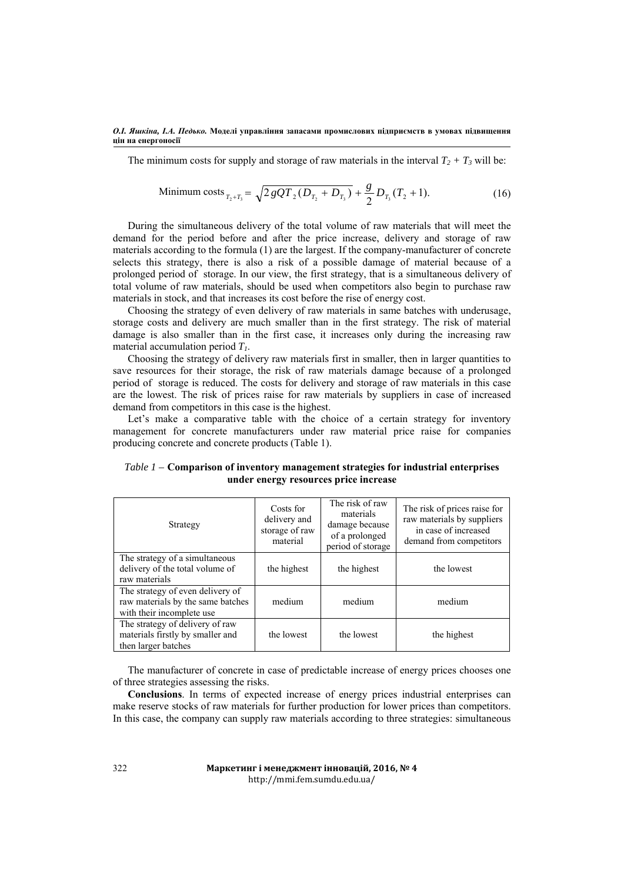The minimum costs for supply and storage of raw materials in the interval  $T_2 + T_3$  will be:

Minimum costs 
$$
_{T_2+T_3} = \sqrt{2gQT_2(D_{T_2} + D_{T_3})} + \frac{g}{2}D_{T_3}(T_2 + 1).
$$
 (16)

During the simultaneous delivery of the total volume of raw materials that will meet the demand for the period before and after the price increase, delivery and storage of raw materials according to the formula (1) are the largest. If the company-manufacturer of concrete selects this strategy, there is also a risk of a possible damage of material because of a prolonged period of storage. In our view, the first strategy, that is a simultaneous delivery of total volume of raw materials, should be used when competitors also begin to purchase raw materials in stock, and that increases its cost before the rise of energy cost.

Choosing the strategy of even delivery of raw materials in same batches with underusage, storage costs and delivery are much smaller than in the first strategy. The risk of material damage is also smaller than in the first case, it increases only during the increasing raw material accumulation period *T1*.

Choosing the strategy of delivery raw materials first in smaller, then in larger quantities to save resources for their storage, the risk of raw materials damage because of a prolonged period of storage is reduced. The costs for delivery and storage of raw materials in this case are the lowest. The risk of prices raise for raw materials by suppliers in case of increased demand from competitors in this case is the highest.

Let's make a comparative table with the choice of a certain strategy for inventory management for concrete manufacturers under raw material price raise for companies producing concrete and concrete products (Table 1).

| Strategy                                                                                           | Costs for<br>delivery and<br>storage of raw<br>material | The risk of raw<br>materials<br>damage because<br>of a prolonged<br>period of storage | The risk of prices raise for<br>raw materials by suppliers<br>in case of increased<br>demand from competitors |
|----------------------------------------------------------------------------------------------------|---------------------------------------------------------|---------------------------------------------------------------------------------------|---------------------------------------------------------------------------------------------------------------|
| The strategy of a simultaneous<br>delivery of the total volume of<br>raw materials                 | the highest                                             | the highest                                                                           | the lowest                                                                                                    |
| The strategy of even delivery of<br>raw materials by the same batches<br>with their incomplete use | medium                                                  | medium                                                                                | medium                                                                                                        |
| The strategy of delivery of raw<br>materials firstly by smaller and<br>then larger batches         | the lowest                                              | the lowest                                                                            | the highest                                                                                                   |

*Table 1 –* **Comparison of inventory management strategies for industrial enterprises under energy resources price increase** 

The manufacturer of concrete in case of predictable increase of energy prices chooses one of three strategies assessing the risks.

**Conclusions**. In terms of expected increase of energy prices industrial enterprises can make reserve stocks of raw materials for further production for lower prices than competitors. In this case, the company can supply raw materials according to three strategies: simultaneous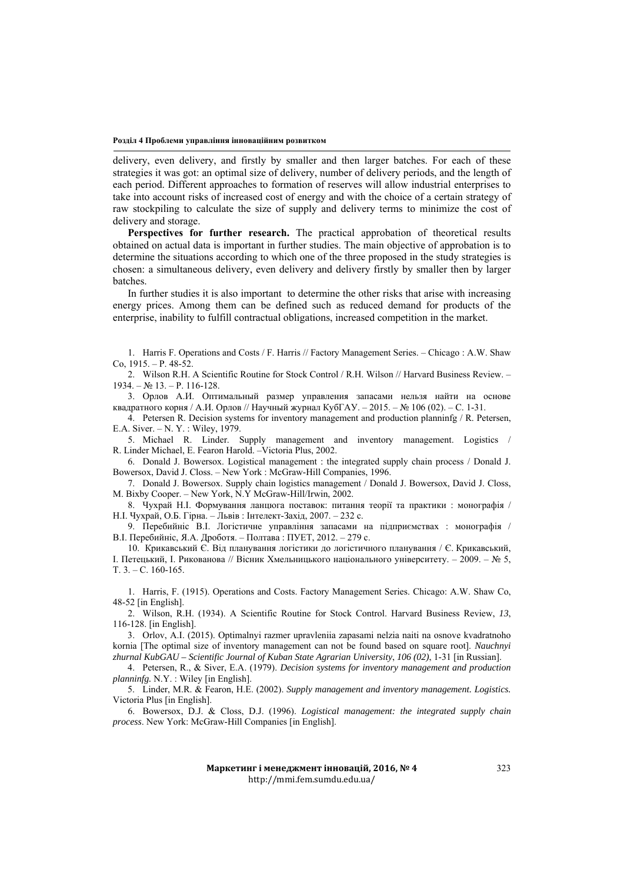#### **Розділ 4 Проблеми управління інноваційним розвитком**

delivery, even delivery, and firstly by smaller and then larger batches. For each of these strategies it was got: an optimal size of delivery, number of delivery periods, and the length of each period. Different approaches to formation of reserves will allow industrial enterprises to take into account risks of increased cost of energy and with the choice of a certain strategy of raw stockpiling to calculate the size of supply and delivery terms to minimize the cost of delivery and storage.

**Perspectives for further research.** The practical approbation of theoretical results obtained on actual data is important in further studies. The main objective of approbation is to determine the situations according to which one of the three proposed in the study strategies is chosen: a simultaneous delivery, even delivery and delivery firstly by smaller then by larger batches.

In further studies it is also important to determine the other risks that arise with increasing energy prices. Among them can be defined such as reduced demand for products of the enterprise, inability to fulfill contractual obligations, increased competition in the market.

1. Harris F. Operations and Costs / F. Harris // Factory Management Series. – Chicago : A.W. Shaw Co,  $1915. - P. 48-52.$ 

2. Wilson R.H. A Scientific Routine for Stock Control / R.H. Wilson // Harvard Business Review. –  $1934. - N_2 13. - P. 116-128.$ 

3. Орлов А.И. Оптимальный размер управления запасами нельзя найти на основе квадратного корня / А.И. Орлов // Научный журнал КубГАУ. – 2015. – № 106 (02). – С. 1-31.

4. Petersen R. Decision systems for inventory management and production planninfg / R. Petersen, E.A. Siver. – N. Y. : Wiley, 1979.

5. Michael R. Linder. Supply management and inventory management. Logistics / R. Linder Michael, E. Fearon Harold. –Victoria Plus, 2002.

6. Donald J. Bowersox. Logistical management : the integrated supply chain process / Donald J. Bowersox, David J. Closs. – New York : McGraw-Hill Companies, 1996.

7. Donald J. Bowersox. Supply chain logistics management / Donald J. Bowersox, David J. Closs, M. Bixby Cooper. – New York, N.Y McGraw-Hill/Irwin, 2002.

8. Чухрай Н.І. Формування ланцюга поставок: питання теорії та практики : монографія / Н.І. Чухрай, О.Б. Гірна. – Львів : Інтелект-Захід, 2007. – 232 с.

9. Перебийніс В.І. Логістичне управління запасами на підприємствах : монографія / В.І. Перебийніс, Я.А. Дроботя. – Полтава : ПУЕТ, 2012. – 279 с.

10. Крикавський Є. Від планування логістики до логістичного планування / Є. Крикавський, І. Петецький, І. Рикованова // Вісник Хмельницького національного університету. – 2009. – № 5, T. 3. – С. 160-165.

1. Harris, F. (1915). Operations and Costs. Factory Management Series. Chicago: A.W. Shaw Co, 48-52 [in English].

2. Wilson, R.H. (1934). A Scientific Routine for Stock Control. Harvard Business Review, *13*, 116-128. [in English].

3. Orlov, A.I. (2015). Optimalnyi razmer upravleniia zapasami nelzia naiti na osnove kvadratnoho kornia [The optimal size of inventory management can not be found based on square root]. *Nauchnyi zhurnal KubGAU – Scientific Journal of Kuban State Agrarian University*, *106 (02)*, 1-31 [in Russian].

4. Petersen, R., & Siver, E.A. (1979). *Decision systems for inventory management and production planninfg.* N.Y. : Wiley [in English].

5. Linder, M.R. & Fearon, H.E. (2002). *Supply management and inventory management. Logistics.*  Victoria Plus [in English].

6. Bowersox, D.J. & Closs, D.J. (1996). *Logistical management: the integrated supply chain process*. New York: McGraw-Hill Companies [in English].

> Маркетинг і менеджмент інновацій, 2016, № 4 http://mmi.fem.sumdu.edu.ua/